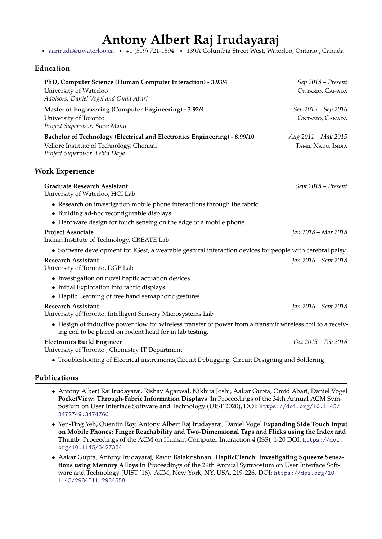# **Antony Albert Raj Irudayaraj**

· [aariruda@uwaterloo.ca](mailto:aariruda@uwaterloo.ca) · <sup>+</sup>1 (519) 721-1594 · 139A Columbia Street West, Waterloo, Ontario , Canada

### **Education**

| PhD, Computer Science (Human Computer Interaction) - 3.93/4<br>University of Waterloo<br>Advisors: Daniel Vogel and Omid Abari                                                             | Sep 2018 - Present<br>ONTARIO, CANADA    |
|--------------------------------------------------------------------------------------------------------------------------------------------------------------------------------------------|------------------------------------------|
| Master of Engineering (Computer Engineering) - 3.92/4<br>University of Toronto<br>Project Supervisor: Steve Mann                                                                           | Sep 2015 – Sep 2016<br>ONTARIO, CANADA   |
| Bachelor of Technology (Electrical and Electronics Engineering) - 8.99/10<br>Vellore Institute of Technology, Chennai<br>Project Supervisor: Febin Daya                                    | Aug 2011 - May 2015<br>TAMIL NADU, INDIA |
| <b>Work Experience</b>                                                                                                                                                                     |                                          |
| <b>Graduate Research Assistant</b><br>University of Waterloo, HCI Lab                                                                                                                      | Sept 2018 - Present                      |
| • Research on investigation mobile phone interactions through the fabric<br>• Building ad-hoc reconfigurable displays<br>• Hardware design for touch sensing on the edge of a mobile phone |                                          |
| <b>Project Associate</b><br>Indian Institute of Technology, CREATE Lab                                                                                                                     | Jan 2018 – Mar 2018                      |
| • Software development for IGest, a wearable gestural interaction devices for people with cerebral palsy.                                                                                  |                                          |
| <b>Research Assistant</b><br>University of Toronto, DGP Lab                                                                                                                                | Jan 2016 – Sept 2018                     |
| • Investigation on novel haptic actuation devices<br>• Initial Exploration into fabric displays<br>• Haptic Learning of free hand semaphoric gestures                                      |                                          |
| <b>Research Assistant</b><br>University of Toronto, Intelligent Sensory Microsystems Lab                                                                                                   | Jan 2016 – Sept 2018                     |
| • Design of inductive power flow for wireless transfer of power from a transmit wireless coil to a receiv-<br>ing coil to be placed on rodent head for in lab testing.                     |                                          |
| <b>Electronics Build Engineer</b><br>University of Toronto, Chemistry IT Department                                                                                                        | Oct 2015 – Feb 2016                      |

• Troubleshooting of Electrical instruments,Circuit Debugging, Circuit Designing and Soldering

### **Publications**

- Antony Albert Raj Irudayaraj, Rishav Agarwal, Nikhita Joshi, Aakar Gupta, Omid Abari, Daniel Vogel **PocketView: Through-Fabric Information Displays** In Proceedings of the 34th Annual ACM Symposium on User Interface Software and Technology (UIST 2020), DOI: [https://doi.org/10.1145/](https://doi.org/10.1145/3472749.3474766) [3472749.3474766](https://doi.org/10.1145/3472749.3474766)
- Yen-Ting Yeh, Quentin Roy, Antony Albert Raj Irudayaraj, Daniel Vogel **Expanding Side Touch Input on Mobile Phones: Finger Reachability and Two-Dimensional Taps and Flicks using the Index and Thumb** Proceedings of the ACM on Human-Computer Interaction 4 (ISS), 1-20 DOI: [https://doi.](https://doi.org/10.1145/3427334) [org/10.1145/3427334](https://doi.org/10.1145/3427334)
- Aakar Gupta, Antony Irudayaraj, Ravin Balakrishnan. **HapticClench: Investigating Squeeze Sensations using Memory Alloys** In Proceedings of the 29th Annual Symposium on User Interface Software and Technology (UIST '16). ACM, New York, NY, USA, 219-226. DOI: [https://doi.org/10.](https://doi.org/10.1145/2984511.2984558) [1145/2984511.2984558](https://doi.org/10.1145/2984511.2984558)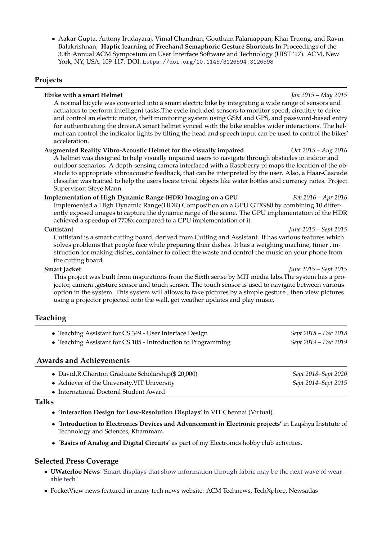• Aakar Gupta, Antony Irudayaraj, Vimal Chandran, Goutham Palaniappan, Khai Truong, and Ravin Balakrishnan, **Haptic learning of Freehand Semaphoric Gesture Shortcuts** In Proceedings of the 30th Annual ACM Symposium on User Interface Software and Technology (UIST '17). ACM, New York, NY, USA, 109-117. DOI: <https://doi.org/10.1145/3126594.3126598>

### **Projects**

### **Ebike with a smart Helmet** *Jan 2015 – May 2015*

A normal bicycle was converted into a smart electric bike by integrating a wide range of sensors and actuators to perform intelligent tasks.The cycle included sensors to monitor speed, circuitry to drive and control an electric motor, theft monitoring system using GSM and GPS, and password-based entry for authenticating the driver.A smart helmet synced with the bike enables wider interactions. The helmet can control the indicator lights by tilting the head and speech input can be used to control the bikes' acceleration.

### **Augmented Reality Vibro-Acoustic Helmet for the visually impaired** *Oct 2015 – Aug 2016*

A helmet was designed to help visually impaired users to navigate through obstacles in indoor and outdoor scenarios. A depth-sensing camera interfaced with a Raspberry pi maps the location of the obstacle to appropriate vibroacoustic feedback, that can be interpreted by the user. Also, a Haar-Cascade classifier was trained to help the users locate trivial objects like water bottles and currency notes. Project Supervisor: Steve Mann

### **Implementation of High Dynamic Range (HDR) Imaging on a GPU** *Feb 2016 – Apr 2016*

Implemented a High Dynamic Range(HDR) Composition on a GPU GTX980 by combining 10 differently exposed images to capture the dynamic range of the scene. The GPU implementation of the HDR achieved a speedup of 7708x compared to a CPU implementation of it.

### **Cuttistant** *June 2015 – Sept 2015*

Cuttistant is a smart cutting board, derived from Cutting and Assistant. It has various features which solves problems that people face while preparing their dishes. It has a weighing machine, timer , instruction for making dishes, container to collect the waste and control the music on your phone from the cutting board.

This project was built from inspirations from the Sixth sense by MIT media labs.The system has a projector, camera ,gesture sensor and touch sensor. The touch sensor is used to navigate between various option in the system. This system will allows to take pictures by a simple gesture , then view pictures using a projector projected onto the wall, get weather updates and play music.

# **Teaching**

• Teaching Assistant for CS 349 - User Interface Design *Sept 2018 – Dec 2018* • Teaching Assistant for CS 105 - Introduction to Programming *Sept 2019 – Dec 2019*

### **Awards and Achievements**

| • David.R.Cheriton Graduate Scholarship(\$20,000) | Sept 2018–Sept 2020 |
|---------------------------------------------------|---------------------|
| • Achiever of the University, VIT University      | Sept 2014–Sept 2015 |
| • International Doctoral Student Award            |                     |
|                                                   |                     |

### **Talks**

- **'Interaction Design for Low-Resolution Displays'** in VIT Chennai (Virtual).
- **'Introduction to Electronics Devices and Advancement in Electronic projects'** in Laqshya Institute of Technology and Sciences, Khammam.
- **'Basics of Analog and Digital Circuits'** as part of my Electronics hobby club activities.

### **Selected Press Coverage**

- **UWaterloo News** ["Smart displays that show information through fabric may be the next wave of wear](https://uwaterloo.ca/news/media/smart-displays-show-information-through-fabric-may-be-next)[able tech"](https://uwaterloo.ca/news/media/smart-displays-show-information-through-fabric-may-be-next)
- PocketView news featured in many tech news website: ACM Technews, TechXplore, Newsatlas

# **Smart Jacket** *June 2015 – Sept 2015*